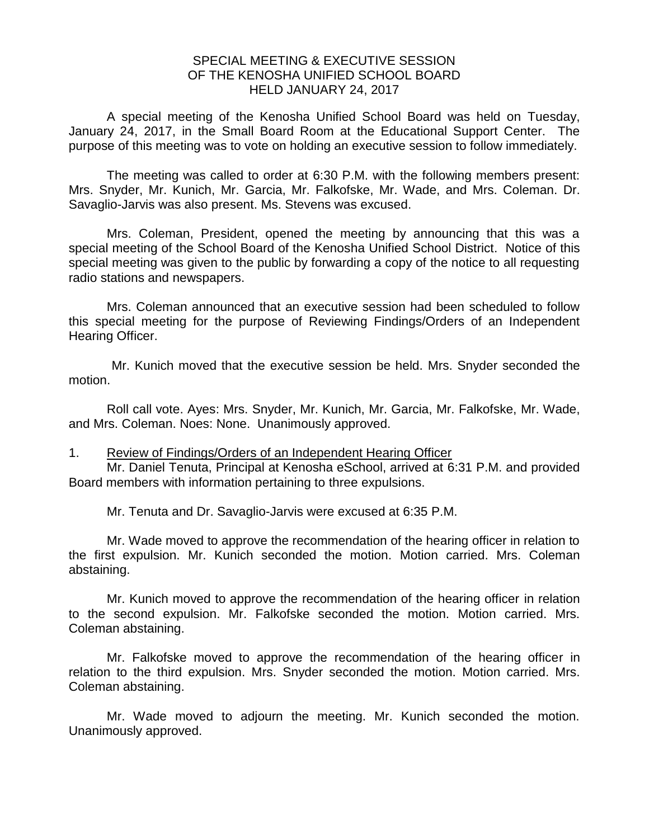## SPECIAL MEETING & EXECUTIVE SESSION OF THE KENOSHA UNIFIED SCHOOL BOARD HELD JANUARY 24, 2017

A special meeting of the Kenosha Unified School Board was held on Tuesday, January 24, 2017, in the Small Board Room at the Educational Support Center. The purpose of this meeting was to vote on holding an executive session to follow immediately.

The meeting was called to order at 6:30 P.M. with the following members present: Mrs. Snyder, Mr. Kunich, Mr. Garcia, Mr. Falkofske, Mr. Wade, and Mrs. Coleman. Dr. Savaglio-Jarvis was also present. Ms. Stevens was excused.

Mrs. Coleman, President, opened the meeting by announcing that this was a special meeting of the School Board of the Kenosha Unified School District. Notice of this special meeting was given to the public by forwarding a copy of the notice to all requesting radio stations and newspapers.

Mrs. Coleman announced that an executive session had been scheduled to follow this special meeting for the purpose of Reviewing Findings/Orders of an Independent Hearing Officer.

Mr. Kunich moved that the executive session be held. Mrs. Snyder seconded the motion.

Roll call vote. Ayes: Mrs. Snyder, Mr. Kunich, Mr. Garcia, Mr. Falkofske, Mr. Wade, and Mrs. Coleman. Noes: None. Unanimously approved.

1. Review of Findings/Orders of an Independent Hearing Officer

Mr. Daniel Tenuta, Principal at Kenosha eSchool, arrived at 6:31 P.M. and provided Board members with information pertaining to three expulsions.

Mr. Tenuta and Dr. Savaglio-Jarvis were excused at 6:35 P.M.

Mr. Wade moved to approve the recommendation of the hearing officer in relation to the first expulsion. Mr. Kunich seconded the motion. Motion carried. Mrs. Coleman abstaining.

Mr. Kunich moved to approve the recommendation of the hearing officer in relation to the second expulsion. Mr. Falkofske seconded the motion. Motion carried. Mrs. Coleman abstaining.

Mr. Falkofske moved to approve the recommendation of the hearing officer in relation to the third expulsion. Mrs. Snyder seconded the motion. Motion carried. Mrs. Coleman abstaining.

Mr. Wade moved to adjourn the meeting. Mr. Kunich seconded the motion. Unanimously approved.